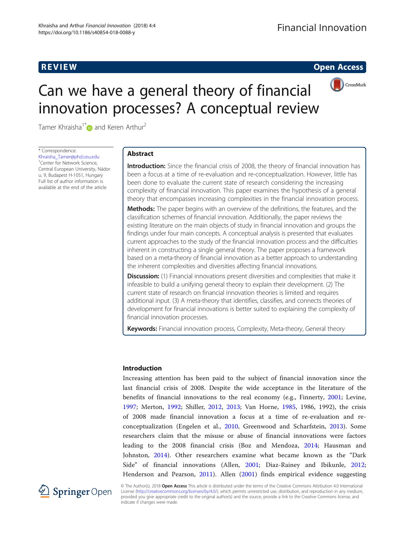# **REVIEW REVIEW CONSTRUCTER ACCESS**



# Can we have a general theory of financial innovation processes? A conceptual review

Tamer Khraisha<sup>1[\\*](http://orcid.org/0000-0003-4432-7796)</sup> and Keren Arthur<sup>2</sup>

\* Correspondence: [Khraisha\\_Tamer@phd.ceu.edu](mailto:Khraisha_Tamer@phd.ceu.edu) <sup>1</sup> Center for Network Science, Central European University, Nádor u. 9, Budapest H-1051, Hungary Full list of author information is available at the end of the article

# Abstract

Introduction: Since the financial crisis of 2008, the theory of financial innovation has been a focus at a time of re-evaluation and re-conceptualization. However, little has been done to evaluate the current state of research considering the increasing complexity of financial innovation. This paper examines the hypothesis of a general theory that encompasses increasing complexities in the financial innovation process.

**Methods:** The paper begins with an overview of the definitions, the features, and the classification schemes of financial innovation. Additionally, the paper reviews the existing literature on the main objects of study in financial innovation and groups the findings under four main concepts. A conceptual analysis is presented that evaluates current approaches to the study of the financial innovation process and the difficulties inherent in constructing a single general theory. The paper proposes a framework based on a meta-theory of financial innovation as a better approach to understanding the inherent complexities and diversities affecting financial innovations.

**Discussion:** (1) Financial innovations present diversities and complexities that make it infeasible to build a unifying general theory to explain their development. (2) The current state of research on financial innovation theories is limited and requires additional input. (3) A meta-theory that identifies, classifies, and connects theories of development for financial innovations is better suited to explaining the complexity of financial innovation processes.

Keywords: Financial innovation process, Complexity, Meta-theory, General theory

# Introduction

Increasing attention has been paid to the subject of financial innovation since the last financial crisis of 2008. Despite the wide acceptance in the literature of the benefits of financial innovations to the real economy (e.g., Finnerty, [2001](#page-24-0); Levine, [1997;](#page-24-0) Merton, [1992](#page-25-0); Shiller, [2012](#page-25-0), [2013](#page-25-0); Van Horne, [1985,](#page-24-0) 1986, 1992), the crisis of 2008 made financial innovation a focus at a time of re-evaluation and reconceptualization (Engelen et al., [2010](#page-24-0), Greenwood and Scharfstein, [2013\)](#page-24-0). Some researchers claim that the misuse or abuse of financial innovations were factors leading to the 2008 financial crisis (Boz and Mendoza, [2014](#page-23-0); Hausman and Johnston, [2014](#page-24-0)). Other researchers examine what became known as the "Dark Side" of financial innovations (Allen, [2001;](#page-22-0) Diaz-Rainey and Ibikunle, [2012](#page-23-0); Henderson and Pearson, [2011](#page-24-0)). Allen [\(2001](#page-22-0)) finds empirical evidence suggesting



© The Author(s). 2018 Open Access This article is distributed under the terms of the Creative Commons Attribution 4.0 International License [\(http://creativecommons.org/licenses/by/4.0/](http://creativecommons.org/licenses/by/4.0/)), which permits unrestricted use, distribution, and reproduction in any medium, provided you give appropriate credit to the original author(s) and the source, provide a link to the Creative Commons license, and indicate if changes were made.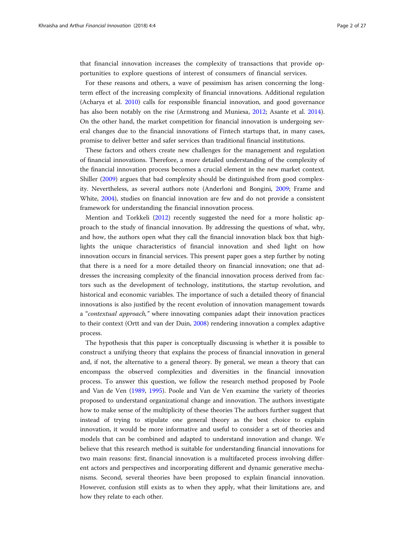that financial innovation increases the complexity of transactions that provide opportunities to explore questions of interest of consumers of financial services.

For these reasons and others, a wave of pessimism has arisen concerning the longterm effect of the increasing complexity of financial innovations. Additional regulation (Acharya et al. [2010](#page-22-0)) calls for responsible financial innovation, and good governance has also been notably on the rise (Armstrong and Muniesa, [2012;](#page-23-0) Asante et al. [2014](#page-23-0)). On the other hand, the market competition for financial innovation is undergoing several changes due to the financial innovations of Fintech startups that, in many cases, promise to deliver better and safer services than traditional financial institutions.

These factors and others create new challenges for the management and regulation of financial innovations. Therefore, a more detailed understanding of the complexity of the financial innovation process becomes a crucial element in the new market context. Shiller [\(2009\)](#page-25-0) argues that bad complexity should be distinguished from good complexity. Nevertheless, as several authors note (Anderloni and Bongini, [2009](#page-23-0); Frame and White, [2004](#page-24-0)), studies on financial innovation are few and do not provide a consistent framework for understanding the financial innovation process.

Mention and Torkkeli ([2012\)](#page-25-0) recently suggested the need for a more holistic approach to the study of financial innovation. By addressing the questions of what, why, and how, the authors open what they call the financial innovation black box that highlights the unique characteristics of financial innovation and shed light on how innovation occurs in financial services. This present paper goes a step further by noting that there is a need for a more detailed theory on financial innovation; one that addresses the increasing complexity of the financial innovation process derived from factors such as the development of technology, institutions, the startup revolution, and historical and economic variables. The importance of such a detailed theory of financial innovations is also justified by the recent evolution of innovation management towards a "contextual approach," where innovating companies adapt their innovation practices to their context (Ortt and van der Duin, [2008](#page-25-0)) rendering innovation a complex adaptive process.

The hypothesis that this paper is conceptually discussing is whether it is possible to construct a unifying theory that explains the process of financial innovation in general and, if not, the alternative to a general theory. By general, we mean a theory that can encompass the observed complexities and diversities in the financial innovation process. To answer this question, we follow the research method proposed by Poole and Van de Ven [\(1989,](#page-25-0) [1995\)](#page-25-0). Poole and Van de Ven examine the variety of theories proposed to understand organizational change and innovation. The authors investigate how to make sense of the multiplicity of these theories The authors further suggest that instead of trying to stipulate one general theory as the best choice to explain innovation, it would be more informative and useful to consider a set of theories and models that can be combined and adapted to understand innovation and change. We believe that this research method is suitable for understanding financial innovations for two main reasons: first, financial innovation is a multifaceted process involving different actors and perspectives and incorporating different and dynamic generative mechanisms. Second, several theories have been proposed to explain financial innovation. However, confusion still exists as to when they apply, what their limitations are, and how they relate to each other.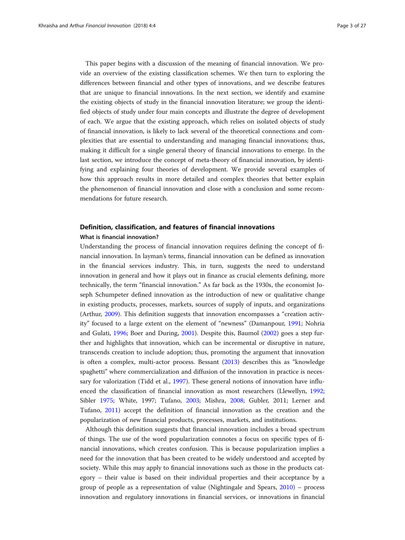This paper begins with a discussion of the meaning of financial innovation. We provide an overview of the existing classification schemes. We then turn to exploring the differences between financial and other types of innovations, and we describe features that are unique to financial innovations. In the next section, we identify and examine the existing objects of study in the financial innovation literature; we group the identified objects of study under four main concepts and illustrate the degree of development of each. We argue that the existing approach, which relies on isolated objects of study of financial innovation, is likely to lack several of the theoretical connections and complexities that are essential to understanding and managing financial innovations; thus, making it difficult for a single general theory of financial innovations to emerge. In the last section, we introduce the concept of meta-theory of financial innovation, by identifying and explaining four theories of development. We provide several examples of how this approach results in more detailed and complex theories that better explain the phenomenon of financial innovation and close with a conclusion and some recommendations for future research.

# Definition, classification, and features of financial innovations What is financial innovation?

Understanding the process of financial innovation requires defining the concept of financial innovation. In layman's terms, financial innovation can be defined as innovation in the financial services industry. This, in turn, suggests the need to understand innovation in general and how it plays out in finance as crucial elements defining, more technically, the term "financial innovation." As far back as the 1930s, the economist Joseph Schumpeter defined innovation as the introduction of new or qualitative change in existing products, processes, markets, sources of supply of inputs, and organizations (Arthur, [2009](#page-23-0)). This definition suggests that innovation encompasses a "creation activity" focused to a large extent on the element of "newness" (Damanpour, [1991](#page-23-0); Nohria and Gulati, [1996](#page-25-0); Boer and During, [2001](#page-23-0)). Despite this, Baumol [\(2002](#page-23-0)) goes a step further and highlights that innovation, which can be incremental or disruptive in nature, transcends creation to include adoption; thus, promoting the argument that innovation is often a complex, multi-actor process. Bessant ([2013](#page-23-0)) describes this as "knowledge spaghetti" where commercialization and diffusion of the innovation in practice is necessary for valorization (Tidd et al., [1997\)](#page-26-0). These general notions of innovation have influenced the classification of financial innovation as most researchers (Llewellyn, [1992](#page-24-0); Sibler [1975;](#page-25-0) White, 1997; Tufano, [2003](#page-26-0); Mishra, [2008](#page-25-0); Gubler, 2011; Lerner and Tufano, [2011](#page-24-0)) accept the definition of financial innovation as the creation and the popularization of new financial products, processes, markets, and institutions.

Although this definition suggests that financial innovation includes a broad spectrum of things. The use of the word popularization connotes a focus on specific types of financial innovations, which creates confusion. This is because popularization implies a need for the innovation that has been created to be widely understood and accepted by society. While this may apply to financial innovations such as those in the products category – their value is based on their individual properties and their acceptance by a group of people as a representation of value (Nightingale and Spears, [2010](#page-25-0)) – process innovation and regulatory innovations in financial services, or innovations in financial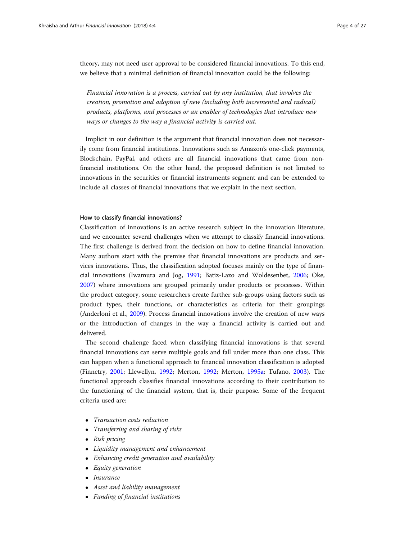theory, may not need user approval to be considered financial innovations. To this end, we believe that a minimal definition of financial innovation could be the following:

Financial innovation is a process, carried out by any institution, that involves the creation, promotion and adoption of new (including both incremental and radical) products, platforms, and processes or an enabler of technologies that introduce new ways or changes to the way a financial activity is carried out.

Implicit in our definition is the argument that financial innovation does not necessarily come from financial institutions. Innovations such as Amazon's one-click payments, Blockchain, PayPal, and others are all financial innovations that came from nonfinancial institutions. On the other hand, the proposed definition is not limited to innovations in the securities or financial instruments segment and can be extended to include all classes of financial innovations that we explain in the next section.

# How to classify financial innovations?

Classification of innovations is an active research subject in the innovation literature, and we encounter several challenges when we attempt to classify financial innovations. The first challenge is derived from the decision on how to define financial innovation. Many authors start with the premise that financial innovations are products and services innovations. Thus, the classification adopted focuses mainly on the type of financial innovations (Iwamura and Jog, [1991](#page-24-0); Batiz-Lazo and Woldesenbet, [2006](#page-23-0); Oke, [2007](#page-25-0)) where innovations are grouped primarily under products or processes. Within the product category, some researchers create further sub-groups using factors such as product types, their functions, or characteristics as criteria for their groupings (Anderloni et al., [2009\)](#page-23-0). Process financial innovations involve the creation of new ways or the introduction of changes in the way a financial activity is carried out and delivered.

The second challenge faced when classifying financial innovations is that several financial innovations can serve multiple goals and fall under more than one class. This can happen when a functional approach to financial innovation classification is adopted (Finnetry, [2001;](#page-24-0) Llewellyn, [1992](#page-24-0); Merton, [1992;](#page-25-0) Merton, [1995a;](#page-25-0) Tufano, [2003](#page-26-0)). The functional approach classifies financial innovations according to their contribution to the functioning of the financial system, that is, their purpose. Some of the frequent criteria used are:

- Transaction costs reduction
- Transferring and sharing of risks
- Risk pricing
- Liquidity management and enhancement
- Enhancing credit generation and availability
- Equity generation
- Insurance
- Asset and liability management
- Funding of financial institutions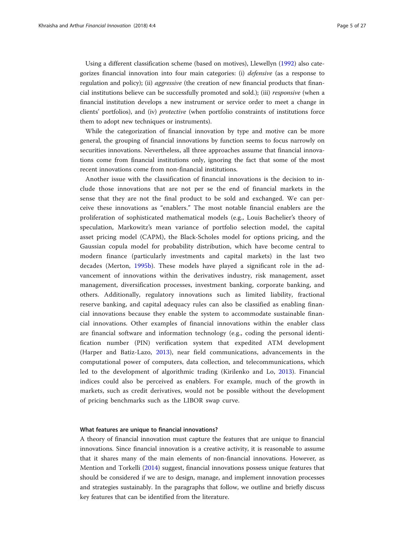Using a different classification scheme (based on motives), Llewellyn [\(1992\)](#page-24-0) also categorizes financial innovation into four main categories: (i) defensive (as a response to regulation and policy); (ii) aggressive (the creation of new financial products that financial institutions believe can be successfully promoted and sold.); (iii) responsive (when a financial institution develops a new instrument or service order to meet a change in clients' portfolios), and (iv) protective (when portfolio constraints of institutions force them to adopt new techniques or instruments).

While the categorization of financial innovation by type and motive can be more general, the grouping of financial innovations by function seems to focus narrowly on securities innovations. Nevertheless, all three approaches assume that financial innovations come from financial institutions only, ignoring the fact that some of the most recent innovations come from non-financial institutions.

Another issue with the classification of financial innovations is the decision to include those innovations that are not per se the end of financial markets in the sense that they are not the final product to be sold and exchanged. We can perceive these innovations as "enablers." The most notable financial enablers are the proliferation of sophisticated mathematical models (e.g., Louis Bachelier's theory of speculation, Markowitz's mean variance of portfolio selection model, the capital asset pricing model (CAPM), the Black-Scholes model for options pricing, and the Gaussian copula model for probability distribution, which have become central to modern finance (particularly investments and capital markets) in the last two decades (Merton, [1995b\)](#page-25-0). These models have played a significant role in the advancement of innovations within the derivatives industry, risk management, asset management, diversification processes, investment banking, corporate banking, and others. Additionally, regulatory innovations such as limited liability, fractional reserve banking, and capital adequacy rules can also be classified as enabling financial innovations because they enable the system to accommodate sustainable financial innovations. Other examples of financial innovations within the enabler class are financial software and information technology (e.g., coding the personal identification number (PIN) verification system that expedited ATM development (Harper and Batiz-Lazo, [2013\)](#page-24-0), near field communications, advancements in the computational power of computers, data collection, and telecommunications, which led to the development of algorithmic trading (Kirilenko and Lo, [2013\)](#page-24-0). Financial indices could also be perceived as enablers. For example, much of the growth in markets, such as credit derivatives, would not be possible without the development of pricing benchmarks such as the LIBOR swap curve.

#### What features are unique to financial innovations?

A theory of financial innovation must capture the features that are unique to financial innovations. Since financial innovation is a creative activity, it is reasonable to assume that it shares many of the main elements of non-financial innovations. However, as Mention and Torkelli ([2014](#page-25-0)) suggest, financial innovations possess unique features that should be considered if we are to design, manage, and implement innovation processes and strategies sustainably. In the paragraphs that follow, we outline and briefly discuss key features that can be identified from the literature.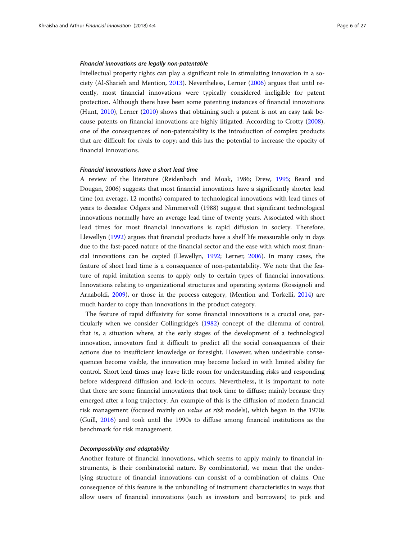### Financial innovations are legally non-patentable

Intellectual property rights can play a significant role in stimulating innovation in a society (Al-Sharieh and Mention, [2013\)](#page-23-0). Nevertheless, Lerner [\(2006](#page-24-0)) argues that until recently, most financial innovations were typically considered ineligible for patent protection. Although there have been some patenting instances of financial innovations (Hunt, [2010\)](#page-24-0), Lerner ([2010](#page-24-0)) shows that obtaining such a patent is not an easy task because patents on financial innovations are highly litigated. According to Crotty ([2008](#page-23-0)), one of the consequences of non-patentability is the introduction of complex products that are difficult for rivals to copy; and this has the potential to increase the opacity of financial innovations.

# Financial innovations have a short lead time

A review of the literature (Reidenbach and Moak, 1986; Drew, [1995](#page-23-0); Beard and Dougan, 2006) suggests that most financial innovations have a significantly shorter lead time (on average, 12 months) compared to technological innovations with lead times of years to decades: Odgers and Nimmervoll (1988) suggest that significant technological innovations normally have an average lead time of twenty years. Associated with short lead times for most financial innovations is rapid diffusion in society. Therefore, Llewellyn [\(1992](#page-24-0)) argues that financial products have a shelf life measurable only in days due to the fast-paced nature of the financial sector and the ease with which most financial innovations can be copied (Llewellyn, [1992](#page-24-0); Lerner, [2006\)](#page-24-0). In many cases, the feature of short lead time is a consequence of non-patentability. We note that the feature of rapid imitation seems to apply only to certain types of financial innovations. Innovations relating to organizational structures and operating systems (Rossignoli and Arnaboldi, [2009\)](#page-25-0), or those in the process category, (Mention and Torkelli, [2014\)](#page-25-0) are much harder to copy than innovations in the product category.

The feature of rapid diffusivity for some financial innovations is a crucial one, particularly when we consider Collingridge's ([1982](#page-23-0)) concept of the dilemma of control, that is, a situation where, at the early stages of the development of a technological innovation, innovators find it difficult to predict all the social consequences of their actions due to insufficient knowledge or foresight. However, when undesirable consequences become visible, the innovation may become locked in with limited ability for control. Short lead times may leave little room for understanding risks and responding before widespread diffusion and lock-in occurs. Nevertheless, it is important to note that there are some financial innovations that took time to diffuse; mainly because they emerged after a long trajectory. An example of this is the diffusion of modern financial risk management (focused mainly on value at risk models), which began in the 1970s (Guill, [2016](#page-24-0)) and took until the 1990s to diffuse among financial institutions as the benchmark for risk management.

#### Decomposability and adaptability

Another feature of financial innovations, which seems to apply mainly to financial instruments, is their combinatorial nature. By combinatorial, we mean that the underlying structure of financial innovations can consist of a combination of claims. One consequence of this feature is the unbundling of instrument characteristics in ways that allow users of financial innovations (such as investors and borrowers) to pick and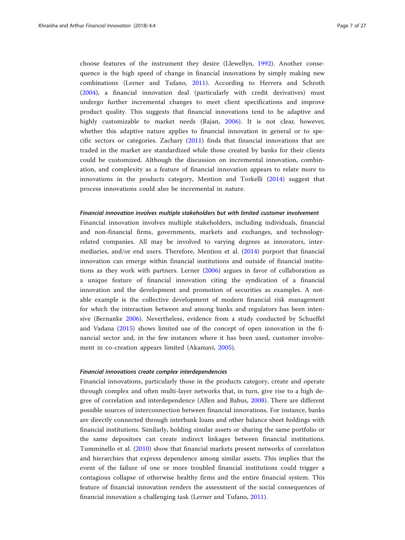choose features of the instrument they desire (Llewellyn, [1992\)](#page-24-0). Another consequence is the high speed of change in financial innovations by simply making new combinations (Lerner and Tufano, [2011\)](#page-24-0). According to Herrera and Schroth ([2004\)](#page-24-0), a financial innovation deal (particularly with credit derivatives) must undergo further incremental changes to meet client specifications and improve product quality. This suggests that financial innovations tend to be adaptive and highly customizable to market needs (Rajan, [2006](#page-25-0)). It is not clear, however, whether this adaptive nature applies to financial innovation in general or to specific sectors or categories. Zachary ([2011\)](#page-26-0) finds that financial innovations that are traded in the market are standardized while those created by banks for their clients could be customized. Although the discussion on incremental innovation, combination, and complexity as a feature of financial innovation appears to relate more to innovations in the products category, Mention and Torkelli ([2014\)](#page-25-0) suggest that process innovations could also be incremental in nature.

# Financial innovation involves multiple stakeholders but with limited customer involvement

Financial innovation involves multiple stakeholders, including individuals, financial and non-financial firms, governments, markets and exchanges, and technologyrelated companies. All may be involved to varying degrees as innovators, intermediaries, and/or end users. Therefore, Mention et al. ([2014\)](#page-25-0) purport that financial innovation can emerge within financial institutions and outside of financial institutions as they work with partners. Lerner [\(2006](#page-24-0)) argues in favor of collaboration as a unique feature of financial innovation citing the syndication of a financial innovation and the development and promotion of securities as examples. A notable example is the collective development of modern financial risk management for which the interaction between and among banks and regulators has been intensive (Bernanke [2006](#page-23-0)). Nevertheless, evidence from a study conducted by Schueffel and Vadana [\(2015](#page-25-0)) shows limited use of the concept of open innovation in the financial sector and, in the few instances where it has been used, customer involvement in co-creation appears limited (Akamavi, [2005\)](#page-22-0).

#### Financial innovations create complex interdependencies

Financial innovations, particularly those in the products category, create and operate through complex and often multi-layer networks that, in turn, give rise to a high degree of correlation and interdependence (Allen and Babus, [2008](#page-23-0)). There are different possible sources of interconnection between financial innovations. For instance, banks are directly connected through interbank loans and other balance sheet holdings with financial institutions. Similarly, holding similar assets or sharing the same portfolio or the same depositors can create indirect linkages between financial institutions. Tumminello et al. ([2010\)](#page-26-0) show that financial markets present networks of correlation and hierarchies that express dependence among similar assets. This implies that the event of the failure of one or more troubled financial institutions could trigger a contagious collapse of otherwise healthy firms and the entire financial system. This feature of financial innovation renders the assessment of the social consequences of financial innovation a challenging task (Lerner and Tufano, [2011](#page-24-0)).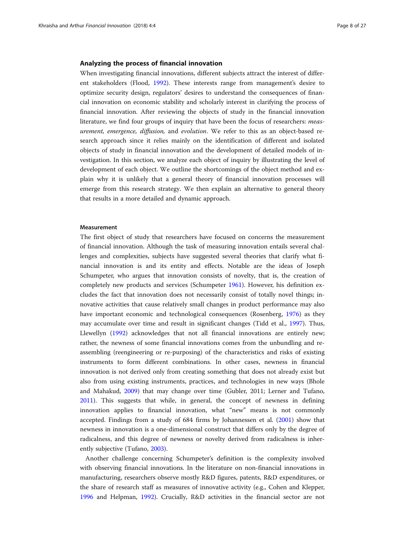#### Analyzing the process of financial innovation

When investigating financial innovations, different subjects attract the interest of different stakeholders (Flood, [1992\)](#page-24-0). These interests range from management's desire to optimize security design, regulators' desires to understand the consequences of financial innovation on economic stability and scholarly interest in clarifying the process of financial innovation. After reviewing the objects of study in the financial innovation literature, we find four groups of inquiry that have been the focus of researchers: measurement, emergence, diffusion, and evolution. We refer to this as an object-based research approach since it relies mainly on the identification of different and isolated objects of study in financial innovation and the development of detailed models of investigation. In this section, we analyze each object of inquiry by illustrating the level of development of each object. We outline the shortcomings of the object method and explain why it is unlikely that a general theory of financial innovation processes will emerge from this research strategy. We then explain an alternative to general theory that results in a more detailed and dynamic approach.

#### **Measurement**

The first object of study that researchers have focused on concerns the measurement of financial innovation. Although the task of measuring innovation entails several challenges and complexities, subjects have suggested several theories that clarify what financial innovation is and its entity and effects. Notable are the ideas of Joseph Schumpeter, who argues that innovation consists of novelty, that is, the creation of completely new products and services (Schumpeter [1961\)](#page-25-0). However, his definition excludes the fact that innovation does not necessarily consist of totally novel things; innovative activities that cause relatively small changes in product performance may also have important economic and technological consequences (Rosenberg, [1976](#page-25-0)) as they may accumulate over time and result in significant changes (Tidd et al., [1997](#page-26-0)). Thus, Llewellyn [\(1992\)](#page-24-0) acknowledges that not all financial innovations are entirely new; rather, the newness of some financial innovations comes from the unbundling and reassembling (reengineering or re-purposing) of the characteristics and risks of existing instruments to form different combinations. In other cases, newness in financial innovation is not derived only from creating something that does not already exist but also from using existing instruments, practices, and technologies in new ways (Bhole and Mahakud, [2009](#page-23-0)) that may change over time (Gubler, 2011; Lerner and Tufano, [2011](#page-24-0)). This suggests that while, in general, the concept of newness in defining innovation applies to financial innovation, what "new" means is not commonly accepted. Findings from a study of 684 firms by Johannessen et al. [\(2001](#page-24-0)) show that newness in innovation is a one-dimensional construct that differs only by the degree of radicalness, and this degree of newness or novelty derived from radicalness is inherently subjective (Tufano, [2003](#page-26-0)).

Another challenge concerning Schumpeter's definition is the complexity involved with observing financial innovations. In the literature on non-financial innovations in manufacturing, researchers observe mostly R&D figures, patents, R&D expenditures, or the share of research staff as measures of innovative activity (e.g., Cohen and Klepper, [1996](#page-23-0) and Helpman, [1992\)](#page-24-0). Crucially, R&D activities in the financial sector are not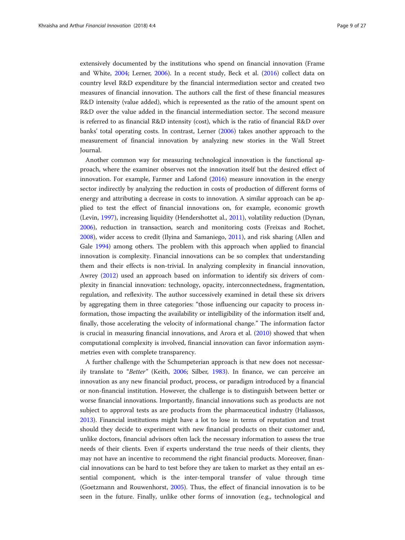extensively documented by the institutions who spend on financial innovation (Frame and White, [2004](#page-24-0); Lerner, [2006\)](#page-24-0). In a recent study, Beck et al. ([2016\)](#page-23-0) collect data on country level R&D expenditure by the financial intermediation sector and created two measures of financial innovation. The authors call the first of these financial measures R&D intensity (value added), which is represented as the ratio of the amount spent on R&D over the value added in the financial intermediation sector. The second measure is referred to as financial R&D intensity (cost), which is the ratio of financial R&D over banks' total operating costs. In contrast, Lerner [\(2006](#page-24-0)) takes another approach to the measurement of financial innovation by analyzing new stories in the Wall Street Journal.

Another common way for measuring technological innovation is the functional approach, where the examiner observes not the innovation itself but the desired effect of innovation. For example, Farmer and Lafond [\(2016\)](#page-24-0) measure innovation in the energy sector indirectly by analyzing the reduction in costs of production of different forms of energy and attributing a decrease in costs to innovation. A similar approach can be applied to test the effect of financial innovations on, for example, economic growth (Levin, [1997](#page-24-0)), increasing liquidity (Hendershottet al., [2011\)](#page-24-0), volatility reduction (Dynan, [2006](#page-23-0)), reduction in transaction, search and monitoring costs (Freixas and Rochet, [2008](#page-24-0)), wider access to credit (Ilyina and Samaniego, [2011\)](#page-24-0), and risk sharing (Allen and Gale [1994\)](#page-23-0) among others. The problem with this approach when applied to financial innovation is complexity. Financial innovations can be so complex that understanding them and their effects is non-trivial. In analyzing complexity in financial innovation, Awrey [\(2012\)](#page-23-0) used an approach based on information to identify six drivers of complexity in financial innovation: technology, opacity, interconnectedness, fragmentation, regulation, and reflexivity. The author successively examined in detail these six drivers by aggregating them in three categories: "those influencing our capacity to process information, those impacting the availability or intelligibility of the information itself and, finally, those accelerating the velocity of informational change." The information factor is crucial in measuring financial innovations, and Arora et al. ([2010](#page-23-0)) showed that when computational complexity is involved, financial innovation can favor information asymmetries even with complete transparency.

A further challenge with the Schumpeterian approach is that new does not necessarily translate to "Better" (Keith, [2006;](#page-24-0) Silber, [1983\)](#page-25-0). In finance, we can perceive an innovation as any new financial product, process, or paradigm introduced by a financial or non-financial institution. However, the challenge is to distinguish between better or worse financial innovations. Importantly, financial innovations such as products are not subject to approval tests as are products from the pharmaceutical industry (Haliassos, [2013](#page-24-0)). Financial institutions might have a lot to lose in terms of reputation and trust should they decide to experiment with new financial products on their customer and, unlike doctors, financial advisors often lack the necessary information to assess the true needs of their clients. Even if experts understand the true needs of their clients, they may not have an incentive to recommend the right financial products. Moreover, financial innovations can be hard to test before they are taken to market as they entail an essential component, which is the inter-temporal transfer of value through time (Goetzmann and Rouwenhorst, [2005\)](#page-24-0). Thus, the effect of financial innovation is to be seen in the future. Finally, unlike other forms of innovation (e.g., technological and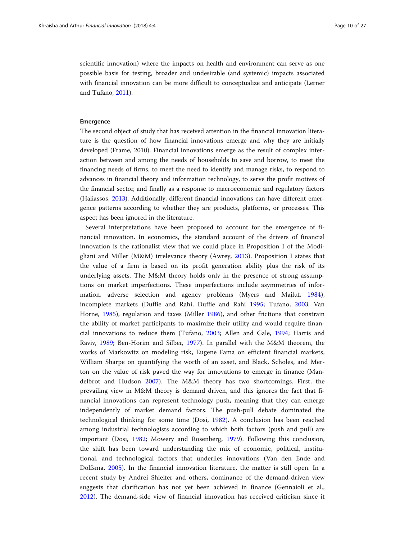scientific innovation) where the impacts on health and environment can serve as one possible basis for testing, broader and undesirable (and systemic) impacts associated with financial innovation can be more difficult to conceptualize and anticipate (Lerner and Tufano, [2011\)](#page-24-0).

#### Emergence

The second object of study that has received attention in the financial innovation literature is the question of how financial innovations emerge and why they are initially developed (Frame, 2010). Financial innovations emerge as the result of complex interaction between and among the needs of households to save and borrow, to meet the financing needs of firms, to meet the need to identify and manage risks, to respond to advances in financial theory and information technology, to serve the profit motives of the financial sector, and finally as a response to macroeconomic and regulatory factors (Haliassos, [2013](#page-24-0)). Additionally, different financial innovations can have different emergence patterns according to whether they are products, platforms, or processes. This aspect has been ignored in the literature.

Several interpretations have been proposed to account for the emergence of financial innovation. In economics, the standard account of the drivers of financial innovation is the rationalist view that we could place in Proposition I of the Modigliani and Miller (M&M) irrelevance theory (Awrey, [2013](#page-23-0)). Proposition I states that the value of a firm is based on its profit generation ability plus the risk of its underlying assets. The M&M theory holds only in the presence of strong assumptions on market imperfections. These imperfections include asymmetries of information, adverse selection and agency problems (Myers and Majluf, [1984](#page-25-0)), incomplete markets (Duffie and Rahi, Duffie and Rahi [1995;](#page-23-0) Tufano, [2003;](#page-26-0) Van Horne, [1985\)](#page-24-0), regulation and taxes (Miller [1986](#page-25-0)), and other frictions that constrain the ability of market participants to maximize their utility and would require financial innovations to reduce them (Tufano, [2003](#page-26-0); Allen and Gale, [1994](#page-23-0); Harris and Raviv, [1989](#page-24-0); Ben-Horim and Silber, [1977](#page-23-0)). In parallel with the M&M theorem, the works of Markowitz on modeling risk, Eugene Fama on efficient financial markets, William Sharpe on quantifying the worth of an asset, and Black, Scholes, and Merton on the value of risk paved the way for innovations to emerge in finance (Mandelbrot and Hudson [2007\)](#page-25-0). The M&M theory has two shortcomings. First, the prevailing view in M&M theory is demand driven, and this ignores the fact that financial innovations can represent technology push, meaning that they can emerge independently of market demand factors. The push-pull debate dominated the technological thinking for some time (Dosi, [1982\)](#page-23-0). A conclusion has been reached among industrial technologists according to which both factors (push and pull) are important (Dosi, [1982](#page-23-0); Mowery and Rosenberg, [1979](#page-25-0)). Following this conclusion, the shift has been toward understanding the mix of economic, political, institutional, and technological factors that underlies innovations (Van den Ende and Dolfsma, [2005](#page-26-0)). In the financial innovation literature, the matter is still open. In a recent study by Andrei Shleifer and others, dominance of the demand-driven view suggests that clarification has not yet been achieved in finance (Gennaioli et al., [2012\)](#page-24-0). The demand-side view of financial innovation has received criticism since it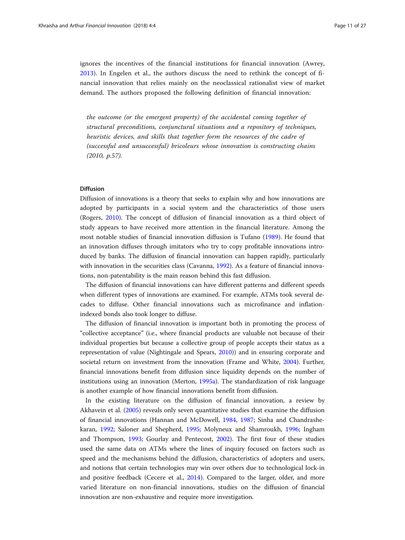ignores the incentives of the financial institutions for financial innovation (Awrey, [2013\)](#page-23-0). In Engelen et al., the authors discuss the need to rethink the concept of financial innovation that relies mainly on the neoclassical rationalist view of market demand. The authors proposed the following definition of financial innovation:

the outcome (or the emergent property) of the accidental coming together of structural preconditions, conjunctural situations and a repository of techniques, heuristic devices, and skills that together form the resources of the cadre of (successful and unsuccessful) bricoleurs whose innovation is constructing chains (2010, p.57).

# Diffusion

Diffusion of innovations is a theory that seeks to explain why and how innovations are adopted by participants in a social system and the characteristics of those users (Rogers, [2010](#page-25-0)). The concept of diffusion of financial innovation as a third object of study appears to have received more attention in the financial literature. Among the most notable studies of financial innovation diffusion is Tufano ([1989](#page-26-0)). He found that an innovation diffuses through imitators who try to copy profitable innovations introduced by banks. The diffusion of financial innovation can happen rapidly, particularly with innovation in the securities class (Cavanna, [1992\)](#page-23-0). As a feature of financial innovations, non-patentability is the main reason behind this fast diffusion.

The diffusion of financial innovations can have different patterns and different speeds when different types of innovations are examined. For example, ATMs took several decades to diffuse. Other financial innovations such as microfinance and inflationindexed bonds also took longer to diffuse.

The diffusion of financial innovation is important both in promoting the process of "collective acceptance" (i.e., where financial products are valuable not because of their individual properties but because a collective group of people accepts their status as a representation of value (Nightingale and Spears, [2010](#page-25-0))) and in ensuring corporate and societal return on investment from the innovation (Frame and White, [2004](#page-24-0)). Further, financial innovations benefit from diffusion since liquidity depends on the number of institutions using an innovation (Merton, [1995a\)](#page-25-0). The standardization of risk language is another example of how financial innovations benefit from diffusion.

In the existing literature on the diffusion of financial innovation, a review by Akhavein et al. ([2005](#page-22-0)) reveals only seven quantitative studies that examine the diffusion of financial innovations (Hannan and McDowell, [1984](#page-24-0), [1987](#page-24-0); Sinha and Chandrashekaran, [1992;](#page-25-0) Saloner and Shepherd, [1995;](#page-25-0) Molyneux and Shamroukh, [1996;](#page-25-0) Ingham and Thompson, [1993](#page-24-0); Gourlay and Pentecost, [2002](#page-24-0)). The first four of these studies used the same data on ATMs where the lines of inquiry focused on factors such as speed and the mechanisms behind the diffusion, characteristics of adopters and users, and notions that certain technologies may win over others due to technological lock-in and positive feedback (Cecere et al., [2014\)](#page-23-0). Compared to the larger, older, and more varied literature on non-financial innovations, studies on the diffusion of financial innovation are non-exhaustive and require more investigation.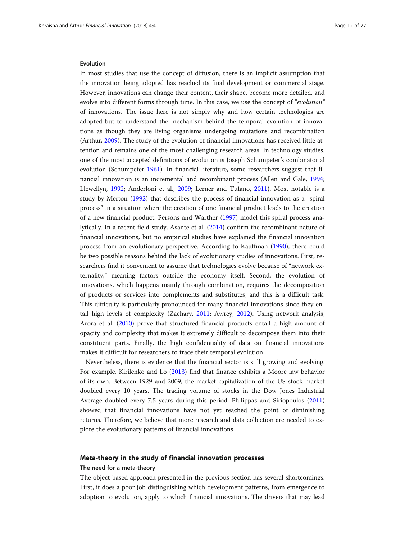#### Evolution

In most studies that use the concept of diffusion, there is an implicit assumption that the innovation being adopted has reached its final development or commercial stage. However, innovations can change their content, their shape, become more detailed, and evolve into different forms through time. In this case, we use the concept of "evolution" of innovations. The issue here is not simply why and how certain technologies are adopted but to understand the mechanism behind the temporal evolution of innovations as though they are living organisms undergoing mutations and recombination (Arthur, [2009\)](#page-23-0). The study of the evolution of financial innovations has received little attention and remains one of the most challenging research areas. In technology studies, one of the most accepted definitions of evolution is Joseph Schumpeter's combinatorial evolution (Schumpeter [1961\)](#page-25-0). In financial literature, some researchers suggest that financial innovation is an incremental and recombinant process (Allen and Gale, [1994](#page-23-0); Llewellyn, [1992](#page-24-0); Anderloni et al., [2009](#page-23-0); Lerner and Tufano, [2011](#page-24-0)). Most notable is a study by Merton ([1992](#page-25-0)) that describes the process of financial innovation as a "spiral process" in a situation where the creation of one financial product leads to the creation of a new financial product. Persons and Warther [\(1997\)](#page-25-0) model this spiral process analytically. In a recent field study, Asante et al. ([2014](#page-23-0)) confirm the recombinant nature of financial innovations, but no empirical studies have explained the financial innovation process from an evolutionary perspective. According to Kauffman [\(1990\)](#page-24-0), there could be two possible reasons behind the lack of evolutionary studies of innovations. First, researchers find it convenient to assume that technologies evolve because of "network externality," meaning factors outside the economy itself. Second, the evolution of innovations, which happens mainly through combination, requires the decomposition of products or services into complements and substitutes, and this is a difficult task. This difficulty is particularly pronounced for many financial innovations since they entail high levels of complexity (Zachary, [2011;](#page-26-0) Awrey, [2012\)](#page-23-0). Using network analysis, Arora et al. ([2010](#page-23-0)) prove that structured financial products entail a high amount of opacity and complexity that makes it extremely difficult to decompose them into their constituent parts. Finally, the high confidentiality of data on financial innovations makes it difficult for researchers to trace their temporal evolution.

Nevertheless, there is evidence that the financial sector is still growing and evolving. For example, Kirilenko and Lo [\(2013\)](#page-24-0) find that finance exhibits a Moore law behavior of its own. Between 1929 and 2009, the market capitalization of the US stock market doubled every 10 years. The trading volume of stocks in the Dow Jones Industrial Average doubled every 7.5 years during this period. Philippas and Siriopoulos ([2011](#page-25-0)) showed that financial innovations have not yet reached the point of diminishing returns. Therefore, we believe that more research and data collection are needed to explore the evolutionary patterns of financial innovations.

# Meta-theory in the study of financial innovation processes

### The need for a meta-theory

The object-based approach presented in the previous section has several shortcomings. First, it does a poor job distinguishing which development patterns, from emergence to adoption to evolution, apply to which financial innovations. The drivers that may lead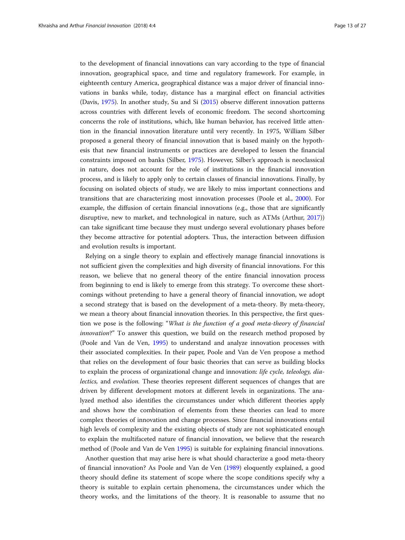to the development of financial innovations can vary according to the type of financial innovation, geographical space, and time and regulatory framework. For example, in eighteenth century America, geographical distance was a major driver of financial innovations in banks while, today, distance has a marginal effect on financial activities (Davis, [1975\)](#page-23-0). In another study, Su and Si [\(2015\)](#page-26-0) observe different innovation patterns across countries with different levels of economic freedom. The second shortcoming concerns the role of institutions, which, like human behavior, has received little attention in the financial innovation literature until very recently. In 1975, William Silber proposed a general theory of financial innovation that is based mainly on the hypothesis that new financial instruments or practices are developed to lessen the financial constraints imposed on banks (Silber, [1975](#page-25-0)). However, Silber's approach is neoclassical in nature, does not account for the role of institutions in the financial innovation process, and is likely to apply only to certain classes of financial innovations. Finally, by focusing on isolated objects of study, we are likely to miss important connections and transitions that are characterizing most innovation processes (Poole et al., [2000](#page-25-0)). For example, the diffusion of certain financial innovations (e.g., those that are significantly disruptive, new to market, and technological in nature, such as ATMs (Arthur, [2017](#page-23-0))) can take significant time because they must undergo several evolutionary phases before they become attractive for potential adopters. Thus, the interaction between diffusion and evolution results is important.

Relying on a single theory to explain and effectively manage financial innovations is not sufficient given the complexities and high diversity of financial innovations. For this reason, we believe that no general theory of the entire financial innovation process from beginning to end is likely to emerge from this strategy. To overcome these shortcomings without pretending to have a general theory of financial innovation, we adopt a second strategy that is based on the development of a meta-theory. By meta-theory, we mean a theory about financial innovation theories. In this perspective, the first question we pose is the following: "What is the function of a good meta-theory of financial innovation?" To answer this question, we build on the research method proposed by (Poole and Van de Ven, [1995](#page-25-0)) to understand and analyze innovation processes with their associated complexities. In their paper, Poole and Van de Ven propose a method that relies on the development of four basic theories that can serve as building blocks to explain the process of organizational change and innovation: *life cycle, teleology, dia*lectics, and evolution. These theories represent different sequences of changes that are driven by different development motors at different levels in organizations. The analyzed method also identifies the circumstances under which different theories apply and shows how the combination of elements from these theories can lead to more complex theories of innovation and change processes. Since financial innovations entail high levels of complexity and the existing objects of study are not sophisticated enough to explain the multifaceted nature of financial innovation, we believe that the research method of (Poole and Van de Ven [1995\)](#page-25-0) is suitable for explaining financial innovations.

Another question that may arise here is what should characterize a good meta-theory of financial innovation? As Poole and Van de Ven ([1989](#page-25-0)) eloquently explained, a good theory should define its statement of scope where the scope conditions specify why a theory is suitable to explain certain phenomena, the circumstances under which the theory works, and the limitations of the theory. It is reasonable to assume that no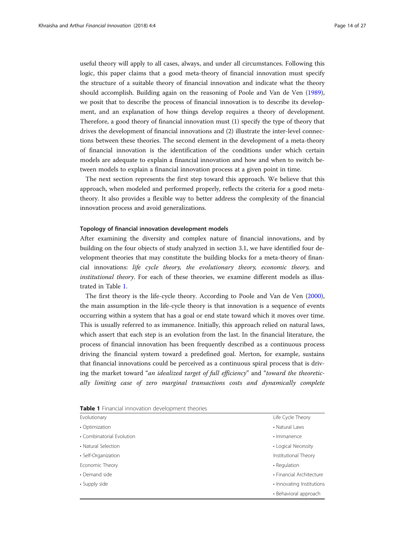useful theory will apply to all cases, always, and under all circumstances. Following this logic, this paper claims that a good meta-theory of financial innovation must specify the structure of a suitable theory of financial innovation and indicate what the theory should accomplish. Building again on the reasoning of Poole and Van de Ven ([1989](#page-25-0)), we posit that to describe the process of financial innovation is to describe its development, and an explanation of how things develop requires a theory of development. Therefore, a good theory of financial innovation must (1) specify the type of theory that drives the development of financial innovations and (2) illustrate the inter-level connections between these theories. The second element in the development of a meta-theory of financial innovation is the identification of the conditions under which certain models are adequate to explain a financial innovation and how and when to switch between models to explain a financial innovation process at a given point in time.

The next section represents the first step toward this approach. We believe that this approach, when modeled and performed properly, reflects the criteria for a good metatheory. It also provides a flexible way to better address the complexity of the financial innovation process and avoid generalizations.

### Topology of financial innovation development models

After examining the diversity and complex nature of financial innovations, and by building on the four objects of study analyzed in section 3.1, we have identified four development theories that may constitute the building blocks for a meta-theory of financial innovations: life cycle theory, the evolutionary theory, economic theory, and institutional theory. For each of these theories, we examine different models as illustrated in Table 1.

The first theory is the life-cycle theory. According to Poole and Van de Ven ([2000](#page-25-0)), the main assumption in the life-cycle theory is that innovation is a sequence of events occurring within a system that has a goal or end state toward which it moves over time. This is usually referred to as immanence. Initially, this approach relied on natural laws, which assert that each step is an evolution from the last. In the financial literature, the process of financial innovation has been frequently described as a continuous process driving the financial system toward a predefined goal. Merton, for example, sustains that financial innovations could be perceived as a continuous spiral process that is driving the market toward "an idealized target of full efficiency" and "toward the theoretically limiting case of zero marginal transactions costs and dynamically complete

| Evolutionary              | Life Cycle Theory         |
|---------------------------|---------------------------|
| • Optimization            | • Natural Laws            |
| • Combinatorial Evolution | · Immanence               |
| • Natural Selection       | • Logical Necessity       |
| · Self-Organization       | Institutional Theory      |
| Economic Theory           | • Regulation              |
| • Demand side             | • Financial Architecture  |
| · Supply side             | • Innovating Institutions |
|                           | • Behavioral approach     |

| Table 1 Financial innovation development theories |  |
|---------------------------------------------------|--|
|---------------------------------------------------|--|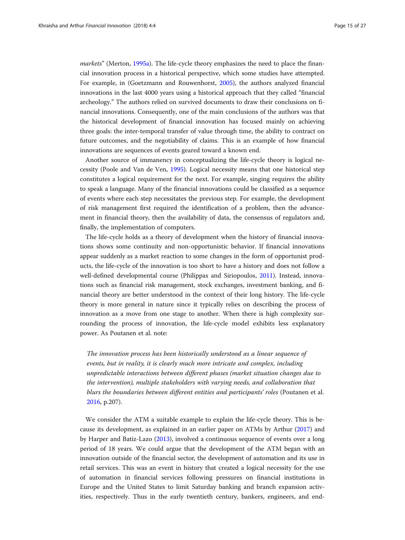markets" (Merton, [1995a\)](#page-25-0). The life-cycle theory emphasizes the need to place the financial innovation process in a historical perspective, which some studies have attempted. For example, in (Goetzmann and Rouwenhorst, [2005](#page-24-0)), the authors analyzed financial innovations in the last 4000 years using a historical approach that they called "financial archeology." The authors relied on survived documents to draw their conclusions on financial innovations. Consequently, one of the main conclusions of the authors was that the historical development of financial innovation has focused mainly on achieving three goals: the inter-temporal transfer of value through time, the ability to contract on future outcomes, and the negotiability of claims. This is an example of how financial innovations are sequences of events geared toward a known end.

Another source of immanency in conceptualizing the life-cycle theory is logical necessity (Poole and Van de Ven, [1995](#page-25-0)). Logical necessity means that one historical step constitutes a logical requirement for the next. For example, singing requires the ability to speak a language. Many of the financial innovations could be classified as a sequence of events where each step necessitates the previous step. For example, the development of risk management first required the identification of a problem, then the advancement in financial theory, then the availability of data, the consensus of regulators and, finally, the implementation of computers.

The life-cycle holds as a theory of development when the history of financial innovations shows some continuity and non-opportunistic behavior. If financial innovations appear suddenly as a market reaction to some changes in the form of opportunist products, the life-cycle of the innovation is too short to have a history and does not follow a well-defined developmental course (Philippas and Siriopoulos, [2011](#page-25-0)). Instead, innovations such as financial risk management, stock exchanges, investment banking, and financial theory are better understood in the context of their long history. The life-cycle theory is more general in nature since it typically relies on describing the process of innovation as a move from one stage to another. When there is high complexity surrounding the process of innovation, the life-cycle model exhibits less explanatory power. As Poutanen et al. note:

The innovation process has been historically understood as a linear sequence of events, but in reality, it is clearly much more intricate and complex, including unpredictable interactions between different phases (market situation changes due to the intervention), multiple stakeholders with varying needs, and collaboration that blurs the boundaries between different entities and participants' roles (Poutanen et al. [2016](#page-25-0), p.207).

We consider the ATM a suitable example to explain the life-cycle theory. This is because its development, as explained in an earlier paper on ATMs by Arthur ([2017](#page-23-0)) and by Harper and Batiz-Lazo ([2013\)](#page-24-0), involved a continuous sequence of events over a long period of 18 years. We could argue that the development of the ATM began with an innovation outside of the financial sector, the development of automation and its use in retail services. This was an event in history that created a logical necessity for the use of automation in financial services following pressures on financial institutions in Europe and the United States to limit Saturday banking and branch expansion activities, respectively. Thus in the early twentieth century, bankers, engineers, and end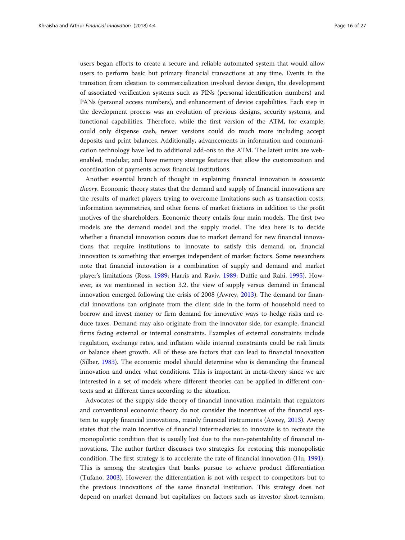users began efforts to create a secure and reliable automated system that would allow users to perform basic but primary financial transactions at any time. Events in the transition from ideation to commercialization involved device design, the development of associated verification systems such as PINs (personal identification numbers) and PANs (personal access numbers), and enhancement of device capabilities. Each step in the development process was an evolution of previous designs, security systems, and functional capabilities. Therefore, while the first version of the ATM, for example, could only dispense cash, newer versions could do much more including accept deposits and print balances. Additionally, advancements in information and communication technology have led to additional add-ons to the ATM. The latest units are webenabled, modular, and have memory storage features that allow the customization and coordination of payments across financial institutions.

Another essential branch of thought in explaining financial innovation is economic theory. Economic theory states that the demand and supply of financial innovations are the results of market players trying to overcome limitations such as transaction costs, information asymmetries, and other forms of market frictions in addition to the profit motives of the shareholders. Economic theory entails four main models. The first two models are the demand model and the supply model. The idea here is to decide whether a financial innovation occurs due to market demand for new financial innovations that require institutions to innovate to satisfy this demand, or, financial innovation is something that emerges independent of market factors. Some researchers note that financial innovation is a combination of supply and demand and market player's limitations (Ross, [1989](#page-25-0); Harris and Raviv, [1989;](#page-24-0) Duffie and Rahi, [1995](#page-23-0)). However, as we mentioned in section 3.2, the view of supply versus demand in financial innovation emerged following the crisis of 2008 (Awrey, [2013\)](#page-23-0). The demand for financial innovations can originate from the client side in the form of household need to borrow and invest money or firm demand for innovative ways to hedge risks and reduce taxes. Demand may also originate from the innovator side, for example, financial firms facing external or internal constraints. Examples of external constraints include regulation, exchange rates, and inflation while internal constraints could be risk limits or balance sheet growth. All of these are factors that can lead to financial innovation (Silber, [1983\)](#page-25-0). The economic model should determine who is demanding the financial innovation and under what conditions. This is important in meta-theory since we are interested in a set of models where different theories can be applied in different contexts and at different times according to the situation.

Advocates of the supply-side theory of financial innovation maintain that regulators and conventional economic theory do not consider the incentives of the financial system to supply financial innovations, mainly financial instruments (Awrey, [2013\)](#page-23-0). Awrey states that the main incentive of financial intermediaries to innovate is to recreate the monopolistic condition that is usually lost due to the non-patentability of financial innovations. The author further discusses two strategies for restoring this monopolistic condition. The first strategy is to accelerate the rate of financial innovation (Hu, [1991](#page-24-0)). This is among the strategies that banks pursue to achieve product differentiation (Tufano, [2003](#page-26-0)). However, the differentiation is not with respect to competitors but to the previous innovations of the same financial institution. This strategy does not depend on market demand but capitalizes on factors such as investor short-termism,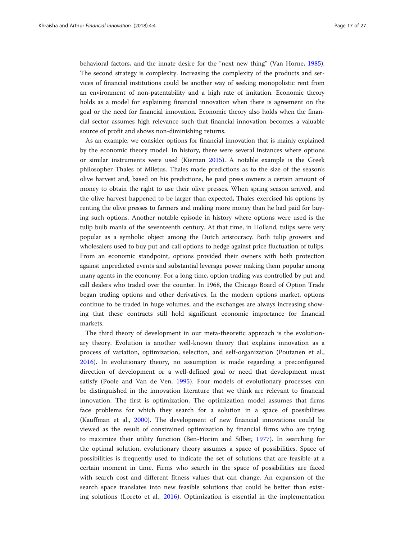behavioral factors, and the innate desire for the "next new thing" (Van Horne, [1985](#page-24-0)). The second strategy is complexity. Increasing the complexity of the products and services of financial institutions could be another way of seeking monopolistic rent from an environment of non-patentability and a high rate of imitation. Economic theory holds as a model for explaining financial innovation when there is agreement on the goal or the need for financial innovation. Economic theory also holds when the financial sector assumes high relevance such that financial innovation becomes a valuable source of profit and shows non-diminishing returns.

As an example, we consider options for financial innovation that is mainly explained by the economic theory model. In history, there were several instances where options or similar instruments were used (Kiernan [2015\)](#page-24-0). A notable example is the Greek philosopher Thales of Miletus. Thales made predictions as to the size of the season's olive harvest and, based on his predictions, he paid press owners a certain amount of money to obtain the right to use their olive presses. When spring season arrived, and the olive harvest happened to be larger than expected, Thales exercised his options by renting the olive presses to farmers and making more money than he had paid for buying such options. Another notable episode in history where options were used is the tulip bulb mania of the seventeenth century. At that time, in Holland, tulips were very popular as a symbolic object among the Dutch aristocracy. Both tulip growers and wholesalers used to buy put and call options to hedge against price fluctuation of tulips. From an economic standpoint, options provided their owners with both protection against unpredicted events and substantial leverage power making them popular among many agents in the economy. For a long time, option trading was controlled by put and call dealers who traded over the counter. In 1968, the Chicago Board of Option Trade began trading options and other derivatives. In the modern options market, options continue to be traded in huge volumes, and the exchanges are always increasing showing that these contracts still hold significant economic importance for financial markets.

The third theory of development in our meta-theoretic approach is the evolutionary theory. Evolution is another well-known theory that explains innovation as a process of variation, optimization, selection, and self-organization (Poutanen et al., [2016\)](#page-25-0). In evolutionary theory, no assumption is made regarding a preconfigured direction of development or a well-defined goal or need that development must satisfy (Poole and Van de Ven, [1995](#page-25-0)). Four models of evolutionary processes can be distinguished in the innovation literature that we think are relevant to financial innovation. The first is optimization. The optimization model assumes that firms face problems for which they search for a solution in a space of possibilities (Kauffman et al., [2000](#page-24-0)). The development of new financial innovations could be viewed as the result of constrained optimization by financial firms who are trying to maximize their utility function (Ben-Horim and Silber, [1977\)](#page-23-0). In searching for the optimal solution, evolutionary theory assumes a space of possibilities. Space of possibilities is frequently used to indicate the set of solutions that are feasible at a certain moment in time. Firms who search in the space of possibilities are faced with search cost and different fitness values that can change. An expansion of the search space translates into new feasible solutions that could be better than existing solutions (Loreto et al., [2016\)](#page-24-0). Optimization is essential in the implementation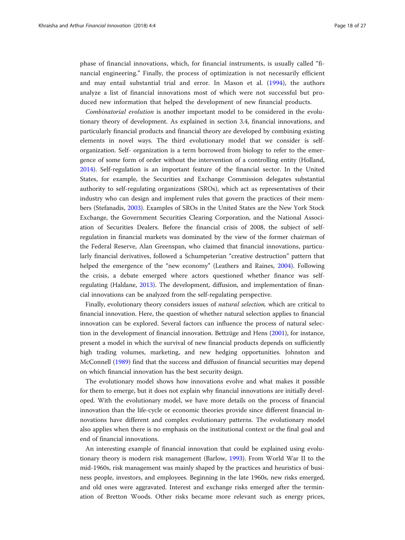phase of financial innovations, which, for financial instruments, is usually called "financial engineering." Finally, the process of optimization is not necessarily efficient and may entail substantial trial and error. In Mason et al. ([1994\)](#page-25-0), the authors analyze a list of financial innovations most of which were not successful but produced new information that helped the development of new financial products.

Combinatorial evolution is another important model to be considered in the evolutionary theory of development. As explained in section 3.4, financial innovations, and particularly financial products and financial theory are developed by combining existing elements in novel ways. The third evolutionary model that we consider is selforganization. Self- organization is a term borrowed from biology to refer to the emergence of some form of order without the intervention of a controlling entity (Holland, [2014](#page-24-0)). Self-regulation is an important feature of the financial sector. In the United States, for example, the Securities and Exchange Commission delegates substantial authority to self-regulating organizations (SROs), which act as representatives of their industry who can design and implement rules that govern the practices of their members (Stefanadis, [2003](#page-26-0)). Examples of SROs in the United States are the New York Stock Exchange, the Government Securities Clearing Corporation, and the National Association of Securities Dealers. Before the financial crisis of 2008, the subject of selfregulation in financial markets was dominated by the view of the former chairman of the Federal Reserve, Alan Greenspan, who claimed that financial innovations, particularly financial derivatives, followed a Schumpeterian "creative destruction" pattern that helped the emergence of the "new economy" (Leathers and Raines, [2004](#page-24-0)). Following the crisis, a debate emerged where actors questioned whether finance was selfregulating (Haldane, [2013\)](#page-24-0). The development, diffusion, and implementation of financial innovations can be analyzed from the self-regulating perspective.

Finally, evolutionary theory considers issues of *natural selection*, which are critical to financial innovation. Here, the question of whether natural selection applies to financial innovation can be explored. Several factors can influence the process of natural selection in the development of financial innovation. Bettzüge and Hens ([2001](#page-23-0)), for instance, present a model in which the survival of new financial products depends on sufficiently high trading volumes, marketing, and new hedging opportunities. Johnston and McConnell [\(1989\)](#page-24-0) find that the success and diffusion of financial securities may depend on which financial innovation has the best security design.

The evolutionary model shows how innovations evolve and what makes it possible for them to emerge, but it does not explain why financial innovations are initially developed. With the evolutionary model, we have more details on the process of financial innovation than the life-cycle or economic theories provide since different financial innovations have different and complex evolutionary patterns. The evolutionary model also applies when there is no emphasis on the institutional context or the final goal and end of financial innovations.

An interesting example of financial innovation that could be explained using evolutionary theory is modern risk management (Barlow, [1993\)](#page-23-0). From World War II to the mid-1960s, risk management was mainly shaped by the practices and heuristics of business people, investors, and employees. Beginning in the late 1960s, new risks emerged, and old ones were aggravated. Interest and exchange risks emerged after the termination of Bretton Woods. Other risks became more relevant such as energy prices,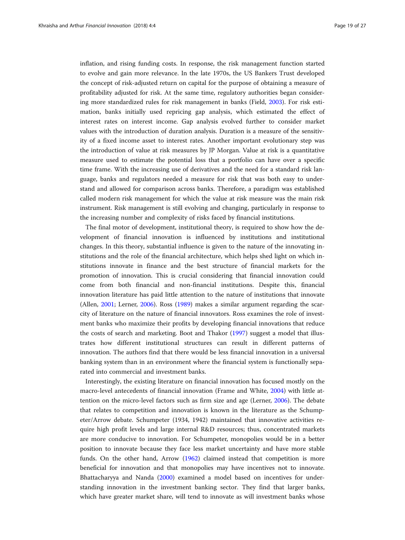inflation, and rising funding costs. In response, the risk management function started to evolve and gain more relevance. In the late 1970s, the US Bankers Trust developed the concept of risk-adjusted return on capital for the purpose of obtaining a measure of profitability adjusted for risk. At the same time, regulatory authorities began considering more standardized rules for risk management in banks (Field, [2003](#page-24-0)). For risk estimation, banks initially used repricing gap analysis, which estimated the effect of interest rates on interest income. Gap analysis evolved further to consider market values with the introduction of duration analysis. Duration is a measure of the sensitivity of a fixed income asset to interest rates. Another important evolutionary step was the introduction of value at risk measures by JP Morgan. Value at risk is a quantitative measure used to estimate the potential loss that a portfolio can have over a specific time frame. With the increasing use of derivatives and the need for a standard risk language, banks and regulators needed a measure for risk that was both easy to understand and allowed for comparison across banks. Therefore, a paradigm was established called modern risk management for which the value at risk measure was the main risk instrument. Risk management is still evolving and changing, particularly in response to the increasing number and complexity of risks faced by financial institutions.

The final motor of development, institutional theory, is required to show how the development of financial innovation is influenced by institutions and institutional changes. In this theory, substantial influence is given to the nature of the innovating institutions and the role of the financial architecture, which helps shed light on which institutions innovate in finance and the best structure of financial markets for the promotion of innovation. This is crucial considering that financial innovation could come from both financial and non-financial institutions. Despite this, financial innovation literature has paid little attention to the nature of institutions that innovate (Allen, [2001](#page-22-0); Lerner, [2006\)](#page-24-0). Ross ([1989](#page-25-0)) makes a similar argument regarding the scarcity of literature on the nature of financial innovators. Ross examines the role of investment banks who maximize their profits by developing financial innovations that reduce the costs of search and marketing. Boot and Thakor ([1997](#page-23-0)) suggest a model that illustrates how different institutional structures can result in different patterns of innovation. The authors find that there would be less financial innovation in a universal banking system than in an environment where the financial system is functionally separated into commercial and investment banks.

Interestingly, the existing literature on financial innovation has focused mostly on the macro-level antecedents of financial innovation (Frame and White, [2004](#page-24-0)) with little attention on the micro-level factors such as firm size and age (Lerner, [2006\)](#page-24-0). The debate that relates to competition and innovation is known in the literature as the Schumpeter/Arrow debate. Schumpeter (1934, 1942) maintained that innovative activities require high profit levels and large internal R&D resources; thus, concentrated markets are more conducive to innovation. For Schumpeter, monopolies would be in a better position to innovate because they face less market uncertainty and have more stable funds. On the other hand, Arrow ([1962](#page-23-0)) claimed instead that competition is more beneficial for innovation and that monopolies may have incentives not to innovate. Bhattacharyya and Nanda [\(2000\)](#page-23-0) examined a model based on incentives for understanding innovation in the investment banking sector. They find that larger banks, which have greater market share, will tend to innovate as will investment banks whose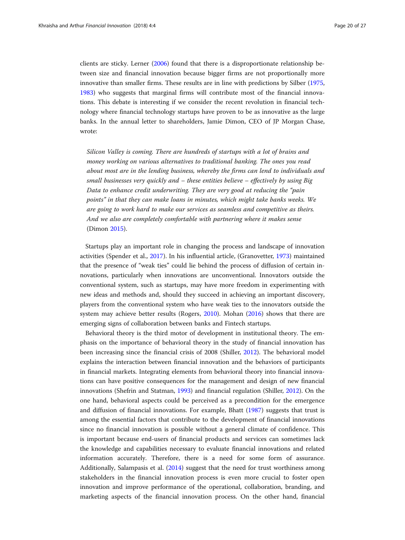clients are sticky. Lerner [\(2006\)](#page-24-0) found that there is a disproportionate relationship between size and financial innovation because bigger firms are not proportionally more innovative than smaller firms. These results are in line with predictions by Silber ([1975](#page-25-0), [1983](#page-25-0)) who suggests that marginal firms will contribute most of the financial innovations. This debate is interesting if we consider the recent revolution in financial technology where financial technology startups have proven to be as innovative as the large banks. In the annual letter to shareholders, Jamie Dimon, CEO of JP Morgan Chase, wrote:

Silicon Valley is coming. There are hundreds of startups with a lot of brains and money working on various alternatives to traditional banking. The ones you read about most are in the lending business, whereby the firms can lend to individuals and small businesses very quickly and – these entities believe – effectively by using Big Data to enhance credit underwriting. They are very good at reducing the "pain points" in that they can make loans in minutes, which might take banks weeks. We are going to work hard to make our services as seamless and competitive as theirs. And we also are completely comfortable with partnering where it makes sense (Dimon [2015\)](#page-23-0).

Startups play an important role in changing the process and landscape of innovation activities (Spender et al., [2017](#page-26-0)). In his influential article, (Granovetter, [1973\)](#page-24-0) maintained that the presence of "weak ties" could lie behind the process of diffusion of certain innovations, particularly when innovations are unconventional. Innovators outside the conventional system, such as startups, may have more freedom in experimenting with new ideas and methods and, should they succeed in achieving an important discovery, players from the conventional system who have weak ties to the innovators outside the system may achieve better results (Rogers, [2010](#page-25-0)). Mohan ([2016\)](#page-25-0) shows that there are emerging signs of collaboration between banks and Fintech startups.

Behavioral theory is the third motor of development in institutional theory. The emphasis on the importance of behavioral theory in the study of financial innovation has been increasing since the financial crisis of 2008 (Shiller, [2012\)](#page-25-0). The behavioral model explains the interaction between financial innovation and the behaviors of participants in financial markets. Integrating elements from behavioral theory into financial innovations can have positive consequences for the management and design of new financial innovations (Shefrin and Statman, [1993](#page-25-0)) and financial regulation (Shiller, [2012](#page-25-0)). On the one hand, behavioral aspects could be perceived as a precondition for the emergence and diffusion of financial innovations. For example, Bhatt ([1987\)](#page-23-0) suggests that trust is among the essential factors that contribute to the development of financial innovations since no financial innovation is possible without a general climate of confidence. This is important because end-users of financial products and services can sometimes lack the knowledge and capabilities necessary to evaluate financial innovations and related information accurately. Therefore, there is a need for some form of assurance. Additionally, Salampasis et al. [\(2014](#page-25-0)) suggest that the need for trust worthiness among stakeholders in the financial innovation process is even more crucial to foster open innovation and improve performance of the operational, collaboration, branding, and marketing aspects of the financial innovation process. On the other hand, financial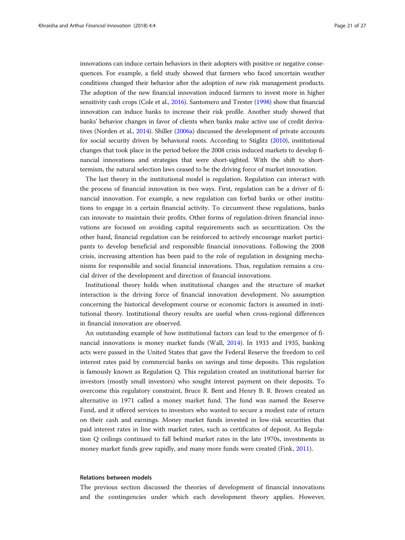innovations can induce certain behaviors in their adopters with positive or negative consequences. For example, a field study showed that farmers who faced uncertain weather conditions changed their behavior after the adoption of new risk management products. The adoption of the new financial innovation induced farmers to invest more in higher sensitivity cash crops (Cole et al., [2016](#page-23-0)). Santomero and Trester [\(1998](#page-25-0)) show that financial innovation can induce banks to increase their risk profile. Another study showed that banks' behavior changes in favor of clients when banks make active use of credit derivatives (Norden et al., [2014\)](#page-25-0). Shiller ([2006a](#page-25-0)) discussed the development of private accounts for social security driven by behavioral roots. According to Stiglitz [\(2010](#page-25-0)), institutional changes that took place in the period before the 2008 crisis induced markets to develop financial innovations and strategies that were short-sighted. With the shift to shorttermism, the natural selection laws ceased to be the driving force of market innovation.

The last theory in the institutional model is regulation. Regulation can interact with the process of financial innovation in two ways. First, regulation can be a driver of financial innovation. For example, a new regulation can forbid banks or other institutions to engage in a certain financial activity. To circumvent these regulations, banks can innovate to maintain their profits. Other forms of regulation-driven financial innovations are focused on avoiding capital requirements such as securitization. On the other hand, financial regulation can be reinforced to actively encourage market participants to develop beneficial and responsible financial innovations. Following the 2008 crisis, increasing attention has been paid to the role of regulation in designing mechanisms for responsible and social financial innovations. Thus, regulation remains a crucial driver of the development and direction of financial innovations.

Institutional theory holds when institutional changes and the structure of market interaction is the driving force of financial innovation development. No assumption concerning the historical development course or economic factors is assumed in institutional theory. Institutional theory results are useful when cross-regional differences in financial innovation are observed.

An outstanding example of how institutional factors can lead to the emergence of financial innovations is money market funds (Wall, [2014](#page-26-0)). In 1933 and 1935, banking acts were passed in the United States that gave the Federal Reserve the freedom to ceil interest rates paid by commercial banks on savings and time deposits. This regulation is famously known as Regulation Q. This regulation created an institutional barrier for investors (mostly small investors) who sought interest payment on their deposits. To overcome this regulatory constraint, Bruce R. Bent and Henry B. R. Brown created an alternative in 1971 called a money market fund. The fund was named the Reserve Fund, and it offered services to investors who wanted to secure a modest rate of return on their cash and earnings. Money market funds invested in low-risk securities that paid interest rates in line with market rates, such as certificates of deposit. As Regulation Q ceilings continued to fall behind market rates in the late 1970s, investments in money market funds grew rapidly, and many more funds were created (Fink, [2011](#page-24-0)).

# Relations between models

The previous section discussed the theories of development of financial innovations and the contingencies under which each development theory applies. However,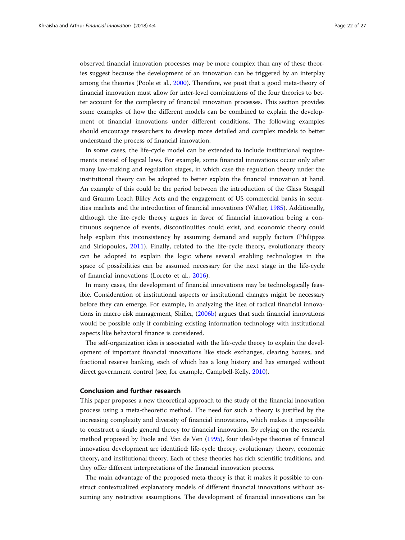observed financial innovation processes may be more complex than any of these theories suggest because the development of an innovation can be triggered by an interplay among the theories (Poole et al., [2000\)](#page-25-0). Therefore, we posit that a good meta-theory of financial innovation must allow for inter-level combinations of the four theories to better account for the complexity of financial innovation processes. This section provides some examples of how the different models can be combined to explain the development of financial innovations under different conditions. The following examples should encourage researchers to develop more detailed and complex models to better understand the process of financial innovation.

In some cases, the life-cycle model can be extended to include institutional requirements instead of logical laws. For example, some financial innovations occur only after many law-making and regulation stages, in which case the regulation theory under the institutional theory can be adopted to better explain the financial innovation at hand. An example of this could be the period between the introduction of the Glass Steagall and Gramm Leach Bliley Acts and the engagement of US commercial banks in securities markets and the introduction of financial innovations (Walter, [1985\)](#page-26-0). Additionally, although the life-cycle theory argues in favor of financial innovation being a continuous sequence of events, discontinuities could exist, and economic theory could help explain this inconsistency by assuming demand and supply factors (Philippas and Siriopoulos, [2011\)](#page-25-0). Finally, related to the life-cycle theory, evolutionary theory can be adopted to explain the logic where several enabling technologies in the space of possibilities can be assumed necessary for the next stage in the life-cycle of financial innovations (Loreto et al., [2016](#page-24-0)).

In many cases, the development of financial innovations may be technologically feasible. Consideration of institutional aspects or institutional changes might be necessary before they can emerge. For example, in analyzing the idea of radical financial innovations in macro risk management, Shiller, ([2006b](#page-25-0)) argues that such financial innovations would be possible only if combining existing information technology with institutional aspects like behavioral finance is considered.

The self-organization idea is associated with the life-cycle theory to explain the development of important financial innovations like stock exchanges, clearing houses, and fractional reserve banking, each of which has a long history and has emerged without direct government control (see, for example, Campbell-Kelly, [2010\)](#page-23-0).

# Conclusion and further research

This paper proposes a new theoretical approach to the study of the financial innovation process using a meta-theoretic method. The need for such a theory is justified by the increasing complexity and diversity of financial innovations, which makes it impossible to construct a single general theory for financial innovation. By relying on the research method proposed by Poole and Van de Ven ([1995](#page-25-0)), four ideal-type theories of financial innovation development are identified: life-cycle theory, evolutionary theory, economic theory, and institutional theory. Each of these theories has rich scientific traditions, and they offer different interpretations of the financial innovation process.

The main advantage of the proposed meta-theory is that it makes it possible to construct contextualized explanatory models of different financial innovations without assuming any restrictive assumptions. The development of financial innovations can be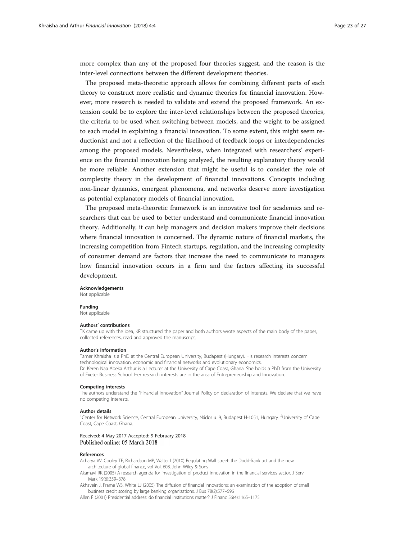<span id="page-22-0"></span>more complex than any of the proposed four theories suggest, and the reason is the inter-level connections between the different development theories.

The proposed meta-theoretic approach allows for combining different parts of each theory to construct more realistic and dynamic theories for financial innovation. However, more research is needed to validate and extend the proposed framework. An extension could be to explore the inter-level relationships between the proposed theories, the criteria to be used when switching between models, and the weight to be assigned to each model in explaining a financial innovation. To some extent, this might seem reductionist and not a reflection of the likelihood of feedback loops or interdependencies among the proposed models. Nevertheless, when integrated with researchers' experience on the financial innovation being analyzed, the resulting explanatory theory would be more reliable. Another extension that might be useful is to consider the role of complexity theory in the development of financial innovations. Concepts including non-linear dynamics, emergent phenomena, and networks deserve more investigation as potential explanatory models of financial innovation.

The proposed meta-theoretic framework is an innovative tool for academics and researchers that can be used to better understand and communicate financial innovation theory. Additionally, it can help managers and decision makers improve their decisions where financial innovation is concerned. The dynamic nature of financial markets, the increasing competition from Fintech startups, regulation, and the increasing complexity of consumer demand are factors that increase the need to communicate to managers how financial innovation occurs in a firm and the factors affecting its successful development.

#### Acknowledgements

Not applicable

#### Funding

Not applicable

#### Authors' contributions

TK came up with the idea, KR structured the paper and both authors wrote aspects of the main body of the paper, collected references, read and approved the manuscript.

#### Author's information

Tamer Khraisha is a PhD at the Central European University, Budapest (Hungary). His research interests concern technological innovation, economic and financial networks and evolutionary economics. Dr. Keren Naa Abeka Arthur is a Lecturer at the University of Cape Coast, Ghana. She holds a PhD from the University of Exeter Business School. Her research interests are in the area of Entrepreneurship and Innovation.

#### Competing interests

The authors understand the "Financial Innovation" Journal Policy on declaration of interests. We declare that we have no competing interests.

#### Author details

<sup>1</sup>Center for Network Science, Central European University, Nádor u. 9, Budapest H-1051, Hungary. <sup>2</sup>University of Cape Coast, Cape Coast, Ghana.

#### Received: 4 May 2017 Accepted: 9 February 2018 Published online: 05 March 2018

#### References

Acharya VV, Cooley TF, Richardson MP, Walter I (2010) Regulating Wall street: the Dodd-frank act and the new architecture of global finance, vol Vol. 608. John Wiley & Sons

Akamavi RK (2005) A research agenda for investigation of product innovation in the financial services sector. J Serv Mark 19(6):359–378

Akhavein J, Frame WS, White LJ (2005) The diffusion of financial innovations: an examination of the adoption of small business credit scoring by large banking organizations. J Bus 78(2):577–596

Allen F (2001) Presidential address: do financial institutions matter? J Financ 56(4):1165–1175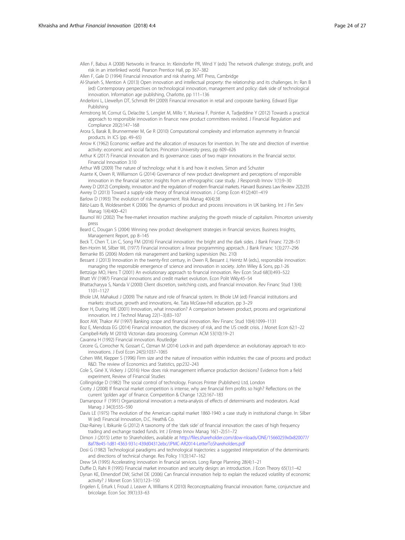<span id="page-23-0"></span>Allen F, Babus A (2008) Networks in finance. In: Kleindorfer PR, Wind Y (eds) The network challenge: strategy, profit, and risk in an interlinked world. Pearson Prentice Hall, pp 367–382

Allen F, Gale D (1994) Financial innovation and risk sharing. MIT Press, Cambridge

Al-Sharieh S, Mention A (2013) Open innovation and intellectual property: the relationship and its challenges. In: Ran B (ed) Contemporary perspectives on technological innovation, management and policy: dark side of technological innovation. Information age publishing, Charlotte, pp 111–136

Anderloni L, Llewellyn DT, Schmidt RH (2009) Financial innovation in retail and corporate banking. Edward Elgar Publishing

Armstrong M, Cornut G, Delacôte S, Lenglet M, Millo Y, Muniesa F, Pointier A, Tadjeddine Y (2012) Towards a practical approach to responsible innovation in finance: new product committees revisited. J Financial Regulation and Compliance 20(2):147–168

Arora S, Barak B, Brunnermeier M, Ge R (2010) Computational complexity and information asymmetry in financial products. In ICS (pp. 49–65)

Arrow K (1962) Economic welfare and the allocation of resources for invention. In: The rate and direction of inventive activity: economic and social factors. Princeton University press, pp 609–626

Arthur K (2017) Financial innovation and its governance: cases of two major innovations in the financial sector. Financial Innovation 3:10

Arthur WB (2009) The nature of technology: what it is and how it evolves. Simon and Schuster Asante K, Owen R, Williamson G (2014) Governance of new product development and perceptions of responsible

innovation in the financial sector: insights from an ethnographic case study. J Responsib Innov 1(1):9–30 Awrey D (2012) Complexity, innovation and the regulation of modern financial markets. Harvard Business Law Review 2(2):235 Awrey D (2013) Toward a supply-side theory of financial innovation. J Comp Econ 41(2):401–419 Barlow D (1993) The evolution of risk management. Risk Manag 40(4):38

Bátiz-Lazo B, Woldesenbet K (2006) The dynamics of product and process innovations in UK banking. Int J Fin Serv Manag 1(4):400–421

Baumol WJ (2002) The free-market innovation machine: analyzing the growth miracle of capitalism. Princeton university press

Beard C, Dougan S (2004) Winning new product development strategies in financial services. Business Insights, Management Report, pp 8–145

Beck T, Chen T, Lin C, Song FM (2016) Financial innovation: the bright and the dark sides. J Bank Financ 72:28–51 Ben-Horim M, Silber WL (1977) Financial innovation: a linear programming approach. J Bank Financ 1(3):277–296 Bernanke BS (2006) Modern risk management and banking supervision (No. 210)

Bessant J (2013) Innovation in the twenty-first century, in Owen R, Bessant J, Heintz M (eds.), responsible innovation: managing the responsible emergence of science and innovation in society. John Wiley & Sons, pp.1-26

Bettzüge MO, Hens T (2001) An evolutionary approach to financial innovation. Rev Econ Stud 68(3):493–522 Bhatt VV (1987) Financial innovations and credit market evolution. Econ Polit Wkly:45–54

Bhattacharyya S, Nanda V (2000) Client discretion, switching costs, and financial innovation. Rev Financ Stud 13(4): 1101–1127

Bhole LM, Mahakud J (2009) The nature and role of financial system. In: Bhole LM (ed) Financial institutions and markets: structure, growth and innovations, 4e. Tata McGraw-hill education, pp 3–29

Boer H, During WE (2001) Innovation, what innovation? A comparison between product, process and organizational innovation. Int J Technol Manag 22(1–3):83–107

Boot AW, Thakor AV (1997) Banking scope and financial innovation. Rev Financ Stud 10(4):1099–1131 Boz E, Mendoza EG (2014) Financial innovation, the discovery of risk, and the US credit crisis. J Monet Econ 62:1–22

Campbell-Kelly M (2010) Victorian data processing. Commun ACM 53(10):19–21

Cavanna H (1992) Financial innovation. Routledge

Cecere G, Corrocher N, Gossart C, Ozman M (2014) Lock-in and path dependence: an evolutionary approach to ecoinnovations. J Evol Econ 24(5):1037–1065

Cohen WM, Klepper S (1996) Firm size and the nature of innovation within industries: the case of process and product R&D. The review of Economics and Statistics, pp:232–243

Cole S, Giné X, Vickery J (2016) How does risk management influence production decisions? Evidence from a field experiment, Review of Financial Studies

Collingridge D (1982) The social control of technology. Frances Printer (Publishers) Ltd, London

Crotty J (2008) If financial market competition is intense, why are financial firm profits so high? Reflections on the current 'golden age' of finance. Competition & Change 12(2):167–183

Damanpour F (1991) Organizational innovation: a meta-analysis of effects of determinants and moderators. Acad Manag J 34(3):555–590

Davis LE (1975) The evolution of the American capital market 1860-1940: a case study in institutional change. In: Silber W (ed) Financial Innovation, D.C. Heath& Co.

Diaz-Rainey I, Ibikunle G (2012) A taxonomy of the 'dark side' of financial innovation: the cases of high frequency trading and exchange traded funds. Int J Entrep Innov Manag 16(1–2):51–72

Dimon J (2015) Letter to Shareholders, available at http://files.shareholder.com/dow-nloads/ONE/15660259x0x820077/ 8af78e45-1d81-4363-931c-439d04312ebc/JPMC-AR2014-LetterToShareholders.pdf

Dosi G (1982) Technological paradigms and technological trajectories: a suggested interpretation of the determinants and directions of technical change. Res Policy 11(3):147–162

Drew SA (1995) Accelerating innovation in financial services. Long Range Planning 28(4):1–21

Duffie D, Rahi R (1995) Financial market innovation and security design: an introduction. J Econ Theory 65(1):1–42 Dynan KE, Elmendorf DW, Sichel DE (2006) Can financial innovation help to explain the reduced volatility of economic activity? J Monet Econ 53(1):123–150

Engelen E, Erturk I, Froud J, Leaver A, Williams K (2010) Reconceptualizing financial innovation: frame, conjuncture and bricolage. Econ Soc 39(1):33–63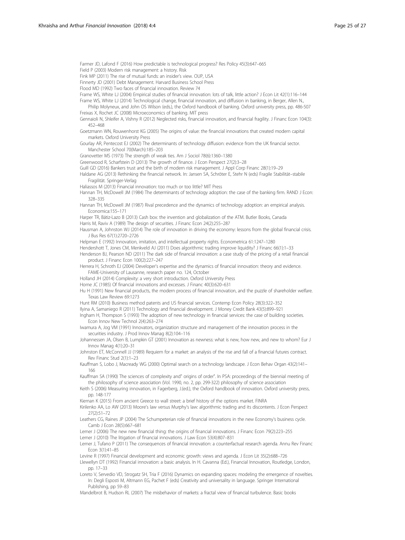<span id="page-24-0"></span>Farmer JD, Lafond F (2016) How predictable is technological progress? Res Policy 45(3):647–665

Field P (2003) Modern risk management: a history. Risk

Fink MP (2011) The rise of mutual funds: an insider's view. OUP, USA

Finnerty JD (2001) Debt Management. Harvard Business School Press

Flood MD (1992) Two faces of financial innovation. Review 74

Frame WS, White LJ (2004) Empirical studies of financial innovation: lots of talk, little action? J Econ Lit 42(1):116–144

Frame WS, White LJ (2014) Technological change, financial innovation, and diffusion in banking, in Berger, Allen N., Philip Molyneux, and John OS Wilson (eds.), the Oxford handbook of banking. Oxford university press, pp. 486-507

Freixas X, Rochet JC (2008) Microeconomics of banking. MIT press

Gennaioli N, Shleifer A, Vishny R (2012) Neglected risks, financial innovation, and financial fragility. J Financ Econ 104(3): 452–468

Goetzmann WN, Rouwenhorst KG (2005) The origins of value: the financial innovations that created modern capital markets. Oxford University Press

Gourlay AR, Pentecost EJ (2002) The determinants of technology diffusion: evidence from the UK financial sector. Manchester School 70(March):185–203

Granovetter MS (1973) The strength of weak ties. Am J Sociol 78(6):1360–1380

Greenwood R, Scharfstein D (2013) The growth of finance. J Econ Perspect 27(2):3–28

Guill GD (2016) Bankers trust and the birth of modern risk management. J Appl Corp Financ 28(1):19–29

Haldane AG (2013) Rethinking the financial network. In: Jansen SA, Schröter E, Stehr N (eds) Fragile Stabilität–stabile Fragilität. Springer-Verlag

Haliassos M (2013) Financial innovation: too much or too little? MIT Press

- Hannan TH, McDowell JM (1984) The determinants of technology adoption: the case of the banking firm. RAND J Econ: 328–335
- Hannan TH, McDowell JM (1987) Rival precedence and the dynamics of technology adoption: an empirical analysis. Economica:155–171

Harper TR, Bátiz-Lazo B (2013) Cash box: the invention and globalization of the ATM. Butler Books, Canada

Harris M, Raviv A (1989) The design of securities. J Financ Econ 24(2):255–287

Hausman A, Johnston WJ (2014) The role of innovation in driving the economy: lessons from the global financial crisis. J Bus Res 67(1):2720–2726

Helpman E (1992) Innovation, imitation, and intellectual property rights. Econometrica 61:1247–1280

- Hendershott T, Jones CM, Menkveld AJ (2011) Does algorithmic trading improve liquidity? J Financ 66(1):1–33
- Henderson BJ, Pearson ND (2011) The dark side of financial innovation: a case study of the pricing of a retail financial product. J Financ Econ 100(2):227–247

Herrera H, Schroth EJ (2004) Developer's expertise and the dynamics of financial innovation: theory and evidence. FAME-University of Lausanne, research paper no. 124, October

Holland JH (2014) Complexity: a very short introduction. Oxford University Press

Horne JC (1985) Of financial innovations and excesses. J Financ 40(3):620–631

- Hu H (1991) New financial products, the modern process of financial innovation, and the puzzle of shareholder welfare. Texas Law Review 69:1273
- Hunt RM (2010) Business method patents and US financial services. Contemp Econ Policy 28(3):322–352
- Ilyina A, Samaniego R (2011) Technology and financial development. J Money Credit Bank 43(5):899–921
- Ingham H, Thompson S (1993) The adoption of new technology in financial services: the case of building societies. Econ Innov New Technol 2(4):263–274

Iwamura A, Jog VM (1991) Innovators, organization structure and management of the innovation process in the securities industry. J Prod Innov Manag 8(2):104–116

Johannessen JA, Olsen B, Lumpkin GT (2001) Innovation as newness: what is new, how new, and new to whom? Eur J Innov Manag 4(1):20–31

Johnston ET, McConnell JJ (1989) Requiem for a market: an analysis of the rise and fall of a financial futures contract. Rev Financ Stud 2(1):1–23

Kauffman S, Lobo J, Macready WG (2000) Optimal search on a technology landscape. J Econ Behav Organ 43(2):141– 166

Kauffman SA (1990) The sciences of complexity and" origins of order". In PSA: proceedings of the biennial meeting of the philosophy of science association (Vol. 1990, no. 2, pp. 299-322) philosophy of science association

Keith S (2006) Measuring innovation, in Fagerberg, J.(ed.), the Oxford handbook of innovation. Oxford university press, pp. 148-177

Kiernan K (2015) From ancient Greece to wall street: a brief history of the options market. FINRA

- Kirilenko AA, Lo AW (2013) Moore's law versus Murphy's law: algorithmic trading and its discontents. J Econ Perspect 27(2):51–72
- Leathers CG, Raines JP (2004) The Schumpeterian role of financial innovations in the new Economy's business cycle. Camb J Econ 28(5):667–681

Lerner J (2006) The new new financial thing: the origins of financial innovations. J Financ Econ 79(2):223–255 Lerner J (2010) The litigation of financial innovations. J Law Econ 53(4):807–831

Lerner J, Tufano P (2011) The consequences of financial innovation: a counterfactual research agenda. Annu Rev Financ Econ 3(1):41–85

Levine R (1997) Financial development and economic growth: views and agenda. J Econ Lit 35(2):688–726

Llewellyn DT (1992) Financial innovation: a basic analysis. In H. Cavanna (Ed.), Financial Innovation, Routledge, London, pp. 17–33

Loreto V, Servedio VD, Strogatz SH, Tria F (2016) Dynamics on expanding spaces: modeling the emergence of novelties. In: Degli Esposti M, Altmann EG, Pachet F (eds) Creativity and universality in language. Springer International Publishing, pp 59–83

Mandelbrot B, Hudson RL (2007) The misbehavior of markets: a fractal view of financial turbulence. Basic books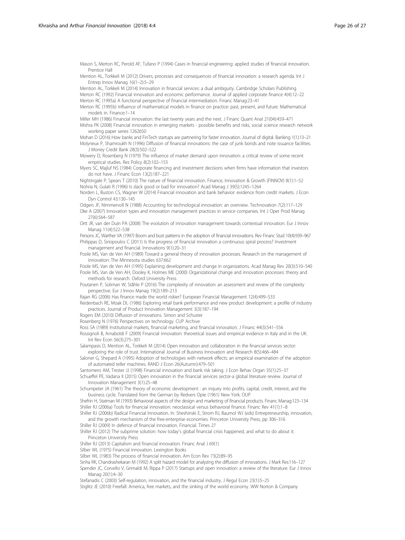<span id="page-25-0"></span>Mason S, Merton RC, Perold AF, Tufano P (1994) Cases in financial engineering: applied studies of financial innovation. Prentice Hall

Mention AL, Torkkeli M (2012) Drivers, processes and consequences of financial innovation: a research agenda. Int J Entrep Innov Manag 16(1–2):5–29

Mention AL, Torkkeli M (2014) Innovation in financial services: a dual ambiguity. Cambridge Scholars Publishing Merton RC (1992) Financial innovation and economic performance. Journal of applied corporate finance 4(4):12–22

Merton RC (1995a) A functional perspective of financial intermediation. Financ Manag:23–41

Merton RC (1995b) Influence of mathematical models in finance on practice: past, present, and future. Mathematical models in. Finance:1–14

Miller MH (1986) Financial innovation: the last twenty years and the next. J Financ Quant Anal 21(04):459–471

Mishra PK (2008) Financial innovation in emerging markets - possible benefits and risks, social science research network working paper series 1262650

Mohan D (2016) How banks and FinTech startups are partnering for faster innovation. Journal of digital. Banking 1(1):13–21 Molyneux P, Shamroukh N (1996) Diffusion of financial innovations: the case of junk bonds and note issuance facilities. J Money Credit Bank 28(3):502–522

Mowery D, Rosenberg N (1979) The influence of market demand upon innovation: a critical review of some recent empirical studies. Res Policy 8(2):102–153

Myers SC, Majluf NS (1984) Corporate financing and investment decisions when firms have information that investors do not have. J Financ Econ 13(2):187–221

Nightingale P, Spears T (2010) The nature of financial innovation. Finance, Innovation & Growth (FINNOV) 8(1):1–52 Nohria N, Gulati R (1996) Is slack good or bad for innovation? Acad Manag J 39(5):1245–1264

Norden L, Buston CS, Wagner W (2014) Financial innovation and bank behavior: evidence from credit markets. J Econ Dyn Control 43:130–145

Odgers JF, Nimmervoll N (1988) Accounting for technological innovation: an overview. Technovation 7(2):117–129 Oke A (2007) Innovation types and innovation management practices in service companies. Int J Oper Prod Manag 27(6):564–587

Ortt JR, van der Duin PA (2008) The evolution of innovation management towards contextual innovation. Eur J Innov Manag 11(4):522–538

Persons JC, Warther VA (1997) Boom and bust patterns in the adoption of financial innovations. Rev Financ Stud 10(4):939–967 Philippas D, Siriopoulos C (2011) Is the progress of financial innovation a continuous spiral process? Investment management and financial. Innovations 9(1):20–31

Poole MS, Van de Ven AH (1989) Toward a general theory of innovation processes. Research on the management of innovation: The Minnesota studies 637:662

Poole MS, Van de Ven AH (1995) Explaining development and change in organizations. Acad Manag Rev 20(3):510–540 Poole MS, Van de Ven AH, Dooley K, Holmes ME (2000) Organizational change and innovation processes: theory and methods for research. Oxford University Press

Poutanen P, Soliman W, Ståhle P (2016) The complexity of innovation: an assessment and review of the complexity perspective. Eur J Innov Manag 19(2):189–213

Rajan RG (2006) Has finance made the world riskier? European Financial Management 12(4):499–533

Reidenbach RE, Moak DL (1986) Exploring retail bank performance and new product development: a profile of industry practices. Journal of Product Innovation Management 3(3):187–194

Rogers EM (2010) Diffusion of innovations. Simon and Schuster

Rosenberg N (1976) Perspectives on technology. CUP Archive

Ross SA (1989) Institutional markets, financial marketing, and financial innovation. J Financ 44(3):541–556

Rossignoli B, Arnaboldi F (2009) Financial innovation: theoretical issues and empirical evidence in Italy and in the UK. Int Rev Econ 56(3):275–301

Salampasis D, Mention AL, Torkkeli M (2014) Open innovation and collaboration in the financial services sector: exploring the role of trust. International Journal of Business Innovation and Research 8(5):466–484

Saloner G, Shepard A (1995) Adoption of technologies with network effects: an empirical examination of the adoption of automated teller machines. RAND J Econ 26(Autumn):479–501

Santomero AM, Trester JJ (1998) Financial innovation and bank risk taking. J Econ Behav Organ 35(1):25–37 Schueffel PE, Vadana II (2015) Open innovation in the financial services sector-a global literature review. Journal of

Innovation Management 3(1):25–48 Schumpeter JA (1961) The theory of economic development : an inquiry into profits, capital, credit, interest, and the business cycle. Translated from the German by Redvers Opie (1961) New York: OUP

Shefrin H, Statman M (1993) Behavioral aspects of the design and marketing of financial products. Financ Manag:123–134 Shiller RJ (2006a) Tools for financial innovation: neoclassical versus behavioral finance. Financ Rev 41(1):1–8

Shiller RJ (2006b) Radical Financial Innovation. In: Sheshinski E, Strom RJ, Baumol WJ (eds) Entrepreneurship, innovation, and the growth mechanism of the free-enterprise economies. Princeton University Press, pp 306–316

Shiller RJ (2009) In defence of financial innovation. Financial. Times 27

Shiller RJ (2012) The subprime solution: how today's global financial crisis happened, and what to do about it. Princeton University Press

Shiller RJ (2013) Capitalism and financial innovation. Financ Anal J 69(1)

Silber WL (1975) Financial innovation. Lexington Books

Silber WL (1983) The process of financial innovation. Am Econ Rev 73(2):89–95

Sinha RK, Chandrashekaran M (1992) A split hazard model for analyzing the diffusion of innovations. J Mark Res:116–127 Spender JC, Corvello V, Grimaldi M, Rippa P (2017) Startups and open innovation: a review of the literature. Eur J Innov Manag 20(1):4–30

Stefanadis C (2003) Self-regulation, innovation, and the financial industry. J Regul Econ 23(1):5–25

Stiglitz JE (2010) Freefall: America, free markets, and the sinking of the world economy. WW Norton & Company